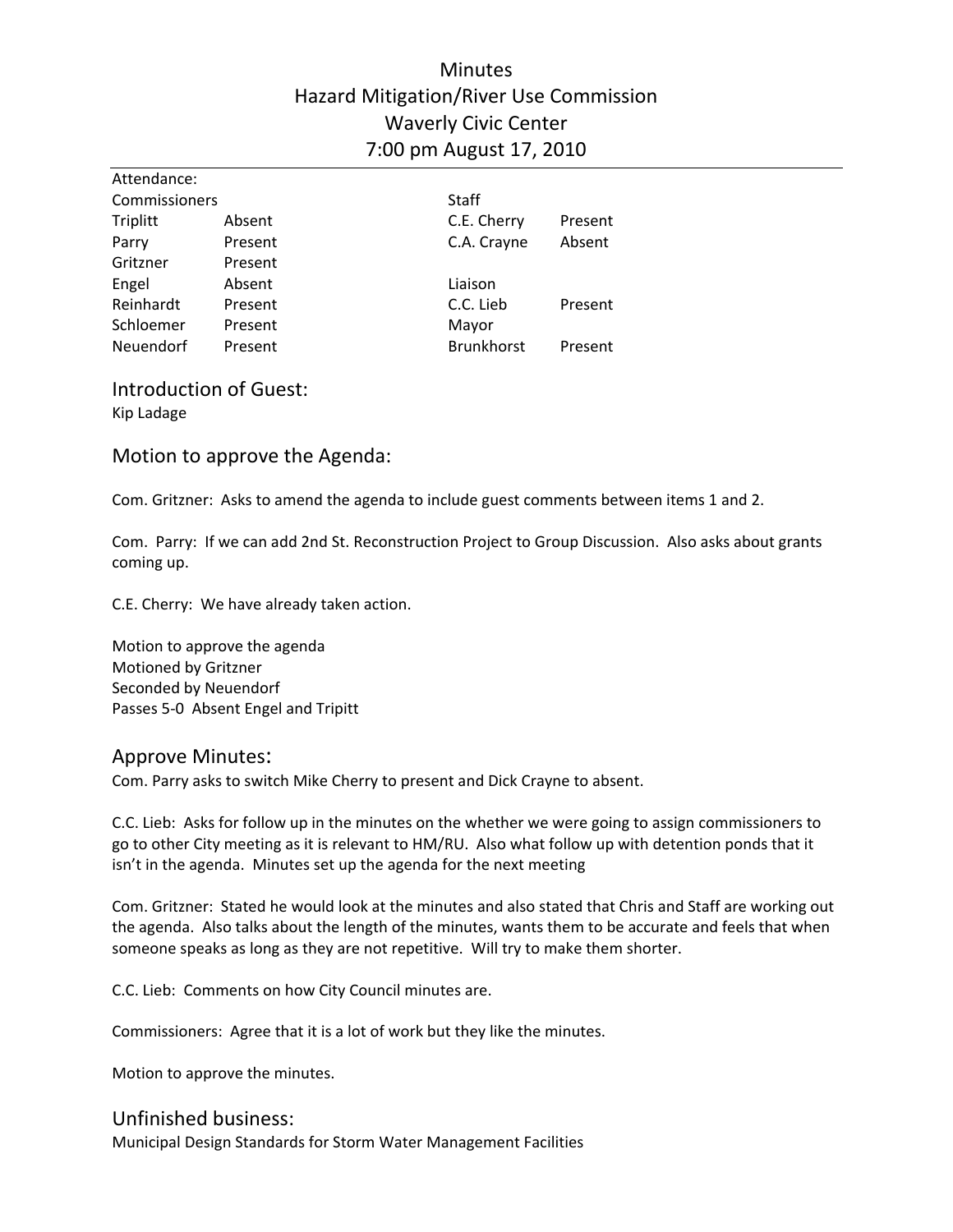# **Minutes** Hazard Mitigation/River Use Commission Waverly Civic Center 7:00 pm August 17, 2010

| Attendance:   |         |                   |         |  |
|---------------|---------|-------------------|---------|--|
| Commissioners |         | <b>Staff</b>      |         |  |
| Triplitt      | Absent  | C.E. Cherry       | Present |  |
| Parry         | Present | C.A. Crayne       | Absent  |  |
| Gritzner      | Present |                   |         |  |
| Engel         | Absent  | Liaison           |         |  |
| Reinhardt     | Present | C.C. Lieb         | Present |  |
| Schloemer     | Present | Mayor             |         |  |
| Neuendorf     | Present | <b>Brunkhorst</b> | Present |  |

Introduction of Guest: Kip Ladage

Motion to approve the Agenda:

Com. Gritzner: Asks to amend the agenda to include guest comments between items 1 and 2.

Com. Parry: If we can add 2nd St. Reconstruction Project to Group Discussion. Also asks about grants coming up.

C.E. Cherry: We have already taken action.

Motion to approve the agenda Motioned by Gritzner Seconded by Neuendorf Passes 5‐0 Absent Engel and Tripitt

#### Approve Minutes:

Com. Parry asks to switch Mike Cherry to present and Dick Crayne to absent.

C.C. Lieb: Asks for follow up in the minutes on the whether we were going to assign commissioners to go to other City meeting as it is relevant to HM/RU. Also what follow up with detention ponds that it isn't in the agenda. Minutes set up the agenda for the next meeting

Com. Gritzner: Stated he would look at the minutes and also stated that Chris and Staff are working out the agenda. Also talks about the length of the minutes, wants them to be accurate and feels that when someone speaks as long as they are not repetitive. Will try to make them shorter.

C.C. Lieb: Comments on how City Council minutes are.

Commissioners: Agree that it is a lot of work but they like the minutes.

Motion to approve the minutes.

## Unfinished business:

Municipal Design Standards for Storm Water Management Facilities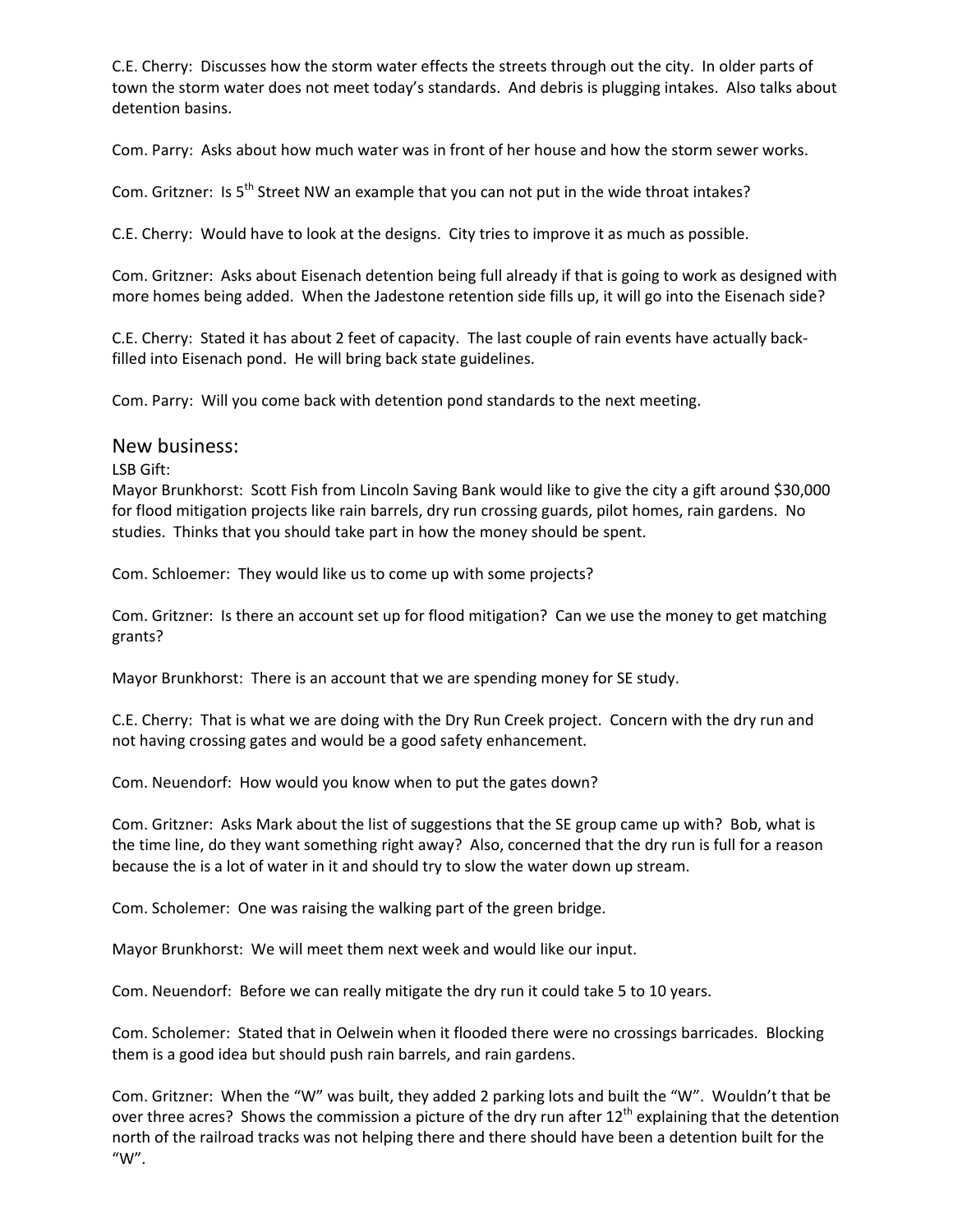C.E. Cherry: Discusses how the storm water effects the streets through out the city. In older parts of town the storm water does not meet today's standards. And debris is plugging intakes. Also talks about detention basins.

Com. Parry: Asks about how much water was in front of her house and how the storm sewer works.

Com. Gritzner: Is 5<sup>th</sup> Street NW an example that you can not put in the wide throat intakes?

C.E. Cherry: Would have to look at the designs. City tries to improve it as much as possible.

Com. Gritzner: Asks about Eisenach detention being full already if that is going to work as designed with more homes being added. When the Jadestone retention side fills up, it will go into the Eisenach side?

C.E. Cherry: Stated it has about 2 feet of capacity. The last couple of rain events have actually back‐ filled into Eisenach pond. He will bring back state guidelines.

Com. Parry: Will you come back with detention pond standards to the next meeting.

#### New business:

LSB Gift:

Mayor Brunkhorst: Scott Fish from Lincoln Saving Bank would like to give the city a gift around \$30,000 for flood mitigation projects like rain barrels, dry run crossing guards, pilot homes, rain gardens. No studies. Thinks that you should take part in how the money should be spent.

Com. Schloemer: They would like us to come up with some projects?

Com. Gritzner: Is there an account set up for flood mitigation? Can we use the money to get matching grants?

Mayor Brunkhorst: There is an account that we are spending money for SE study.

C.E. Cherry: That is what we are doing with the Dry Run Creek project. Concern with the dry run and not having crossing gates and would be a good safety enhancement.

Com. Neuendorf: How would you know when to put the gates down?

Com. Gritzner: Asks Mark about the list of suggestions that the SE group came up with? Bob, what is the time line, do they want something right away? Also, concerned that the dry run is full for a reason because the is a lot of water in it and should try to slow the water down up stream.

Com. Scholemer: One was raising the walking part of the green bridge.

Mayor Brunkhorst: We will meet them next week and would like our input.

Com. Neuendorf: Before we can really mitigate the dry run it could take 5 to 10 years.

Com. Scholemer: Stated that in Oelwein when it flooded there were no crossings barricades. Blocking them is a good idea but should push rain barrels, and rain gardens.

Com. Gritzner: When the "W" was built, they added 2 parking lots and built the "W". Wouldn't that be over three acres? Shows the commission a picture of the dry run after 12<sup>th</sup> explaining that the detention north of the railroad tracks was not helping there and there should have been a detention built for the "W".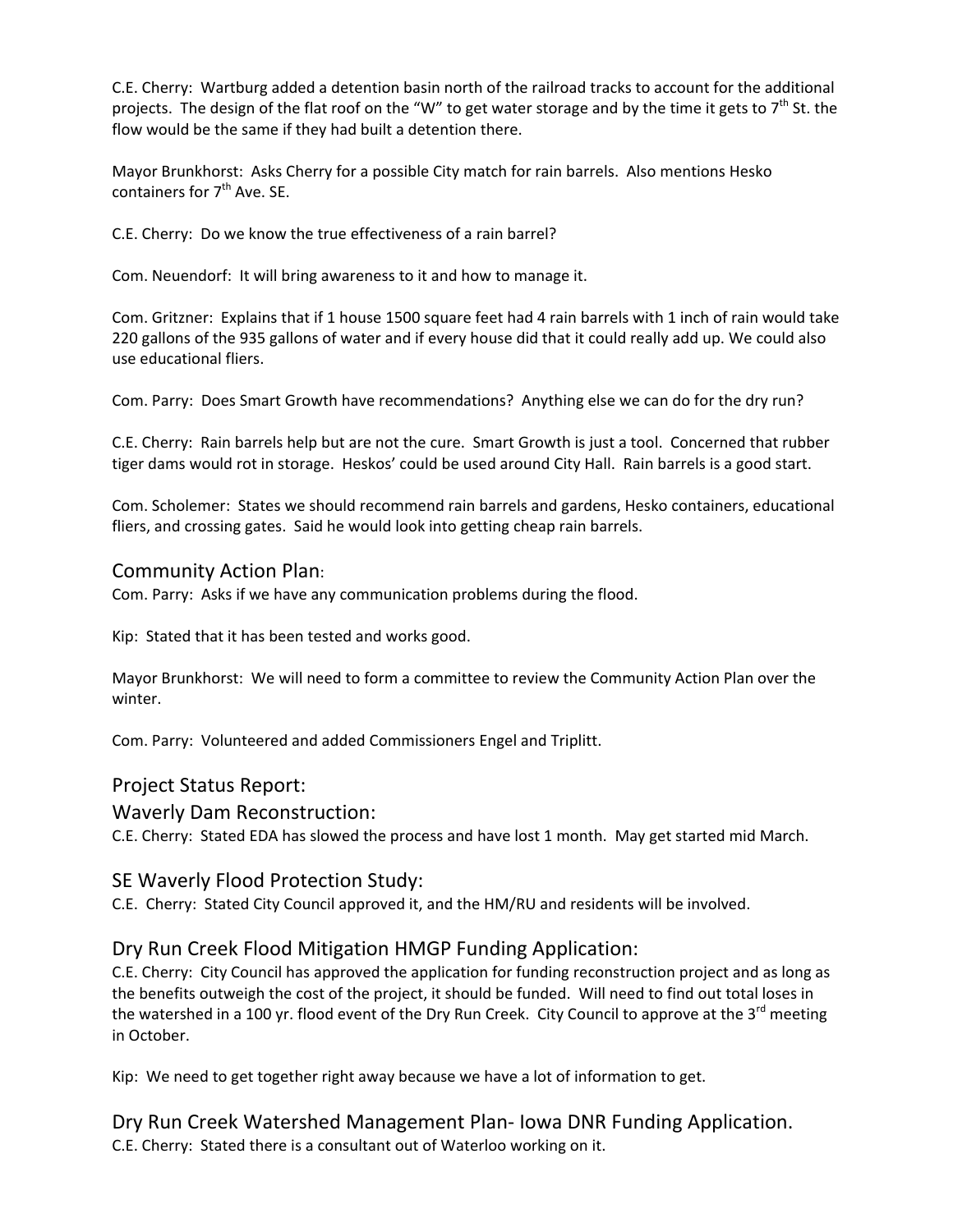C.E. Cherry: Wartburg added a detention basin north of the railroad tracks to account for the additional projects. The design of the flat roof on the "W" to get water storage and by the time it gets to  $7<sup>th</sup>$  St. the flow would be the same if they had built a detention there.

Mayor Brunkhorst: Asks Cherry for a possible City match for rain barrels. Also mentions Hesko containers for 7<sup>th</sup> Ave. SE.

C.E. Cherry: Do we know the true effectiveness of a rain barrel?

Com. Neuendorf: It will bring awareness to it and how to manage it.

Com. Gritzner: Explains that if 1 house 1500 square feet had 4 rain barrels with 1 inch of rain would take 220 gallons of the 935 gallons of water and if every house did that it could really add up. We could also use educational fliers.

Com. Parry: Does Smart Growth have recommendations? Anything else we can do for the dry run?

C.E. Cherry: Rain barrels help but are not the cure. Smart Growth is just a tool. Concerned that rubber tiger dams would rot in storage. Heskos' could be used around City Hall. Rain barrels is a good start.

Com. Scholemer: States we should recommend rain barrels and gardens, Hesko containers, educational fliers, and crossing gates. Said he would look into getting cheap rain barrels.

### Community Action Plan:

Com. Parry: Asks if we have any communication problems during the flood.

Kip: Stated that it has been tested and works good.

Mayor Brunkhorst: We will need to form a committee to review the Community Action Plan over the winter.

Com. Parry: Volunteered and added Commissioners Engel and Triplitt.

## Project Status Report:

#### Waverly Dam Reconstruction:

C.E. Cherry: Stated EDA has slowed the process and have lost 1 month. May get started mid March.

## SE Waverly Flood Protection Study:

C.E. Cherry: Stated City Council approved it, and the HM/RU and residents will be involved.

## Dry Run Creek Flood Mitigation HMGP Funding Application:

C.E. Cherry: City Council has approved the application for funding reconstruction project and as long as the benefits outweigh the cost of the project, it should be funded. Will need to find out total loses in the watershed in a 100 yr. flood event of the Dry Run Creek. City Council to approve at the  $3<sup>rd</sup>$  meeting in October.

Kip: We need to get together right away because we have a lot of information to get.

Dry Run Creek Watershed Management Plan‐ Iowa DNR Funding Application. C.E. Cherry: Stated there is a consultant out of Waterloo working on it.